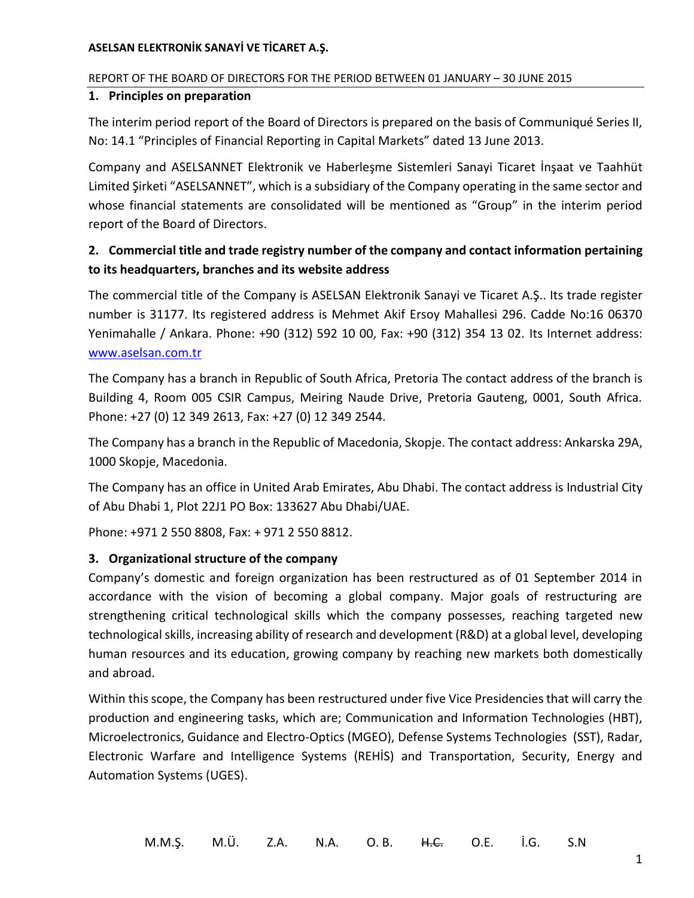## REPORT OF THE BOARD OF DIRECTORS FOR THE PERIOD BETWEEN 01 JANUARY – 30 JUNE 2015

## **1. Principles on preparation**

The interim period report of the Board of Directors is prepared on the basis of Communiqué Series II, No: 14.1 "Principles of Financial Reporting in Capital Markets" dated 13 June 2013.

Company and ASELSANNET Elektronik ve Haberleşme Sistemleri Sanayi Ticaret İnşaat ve Taahhüt Limited Şirketi "ASELSANNET", which is a subsidiary of the Company operating in the same sector and whose financial statements are consolidated will be mentioned as "Group" in the interim period report of the Board of Directors.

# **2. Commercial title and trade registry number of the company and contact information pertaining to its headquarters, branches and its website address**

The commercial title of the Company is ASELSAN Elektronik Sanayi ve Ticaret A.Ş.. Its trade register number is 31177. Its registered address is Mehmet Akif Ersoy Mahallesi 296. Cadde No:16 06370 Yenimahalle / Ankara. Phone: +90 (312) 592 10 00, Fax: +90 (312) 354 13 02. Its Internet address: [www.aselsan.com.tr](http://www.aselsan.com.tr/)

The Company has a branch in Republic of South Africa, Pretoria The contact address of the branch is Building 4, Room 005 CSIR Campus, Meiring Naude Drive, Pretoria Gauteng, 0001, South Africa. Phone: +27 (0) 12 349 2613, Fax: +27 (0) 12 349 2544.

The Company has a branch in the Republic of Macedonia, Skopje. The contact address: Ankarska 29A, 1000 Skopje, Macedonia.

The Company has an office in United Arab Emirates, Abu Dhabi. The contact address is Industrial City of Abu Dhabi 1, Plot 22J1 PO Box: 133627 Abu Dhabi/UAE.

Phone: +971 2 550 8808, Fax: + 971 2 550 8812.

## **3. Organizational structure of the company**

Company's domestic and foreign organization has been restructured as of 01 September 2014 in accordance with the vision of becoming a global company. Major goals of restructuring are strengthening critical technological skills which the company possesses, reaching targeted new technological skills, increasing ability of research and development (R&D) at a global level, developing human resources and its education, growing company by reaching new markets both domestically and abroad.

Within this scope, the Company has been restructured under five Vice Presidencies that will carry the production and engineering tasks, which are; Communication and Information Technologies (HBT), Microelectronics, Guidance and Electro-Optics (MGEO), Defense Systems Technologies (SST), Radar, Electronic Warfare and Intelligence Systems (REHİS) and Transportation, Security, Energy and Automation Systems (UGES).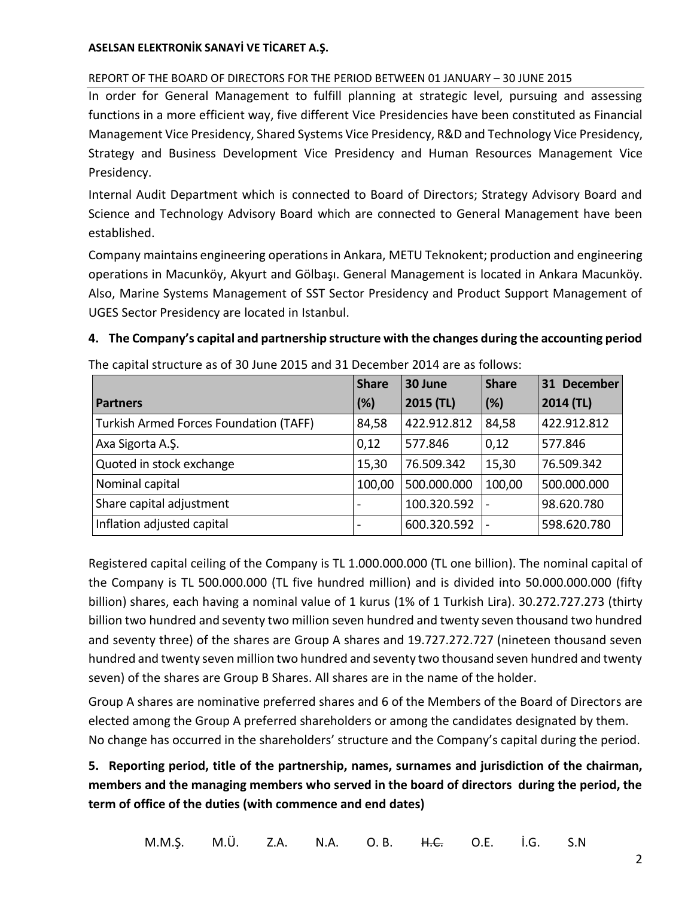## REPORT OF THE BOARD OF DIRECTORS FOR THE PERIOD BETWEEN 01 JANUARY – 30 JUNE 2015

In order for General Management to fulfill planning at strategic level, pursuing and assessing functions in a more efficient way, five different Vice Presidencies have been constituted as Financial Management Vice Presidency, Shared Systems Vice Presidency, R&D and Technology Vice Presidency, Strategy and Business Development Vice Presidency and Human Resources Management Vice Presidency.

Internal Audit Department which is connected to Board of Directors; Strategy Advisory Board and Science and Technology Advisory Board which are connected to General Management have been established.

Company maintains engineering operations in Ankara, METU Teknokent; production and engineering operations in Macunköy, Akyurt and Gölbaşı. General Management is located in Ankara Macunköy. Also, Marine Systems Management of SST Sector Presidency and Product Support Management of UGES Sector Presidency are located in Istanbul.

## **4. The Company's capital and partnership structure with the changes during the accounting period**

|                                        | <b>Share</b>             | 30 June     | <b>Share</b> | 31 December |
|----------------------------------------|--------------------------|-------------|--------------|-------------|
| <b>Partners</b>                        | (%)                      | 2015 (TL)   | (%)          | 2014 (TL)   |
| Turkish Armed Forces Foundation (TAFF) | 84,58                    | 422.912.812 | 84,58        | 422.912.812 |
| Axa Sigorta A.Ş.                       | 0,12                     | 577.846     | 0,12         | 577.846     |
| Quoted in stock exchange               | 15,30                    | 76.509.342  | 15,30        | 76.509.342  |
| Nominal capital                        | 100,00                   | 500.000.000 | 100,00       | 500.000.000 |
| Share capital adjustment               |                          | 100.320.592 |              | 98.620.780  |
| Inflation adjusted capital             | $\overline{\phantom{0}}$ | 600.320.592 |              | 598.620.780 |

The capital structure as of 30 June 2015 and 31 December 2014 are as follows:

Registered capital ceiling of the Company is TL 1.000.000.000 (TL one billion). The nominal capital of the Company is TL 500.000.000 (TL five hundred million) and is divided into 50.000.000.000 (fifty billion) shares, each having a nominal value of 1 kurus (1% of 1 Turkish Lira). 30.272.727.273 (thirty billion two hundred and seventy two million seven hundred and twenty seven thousand two hundred and seventy three) of the shares are Group A shares and 19.727.272.727 (nineteen thousand seven hundred and twenty seven million two hundred and seventy two thousand seven hundred and twenty seven) of the shares are Group B Shares. All shares are in the name of the holder.

Group A shares are nominative preferred shares and 6 of the Members of the Board of Directors are elected among the Group A preferred shareholders or among the candidates designated by them. No change has occurred in the shareholders' structure and the Company's capital during the period.

**5. Reporting period, title of the partnership, names, surnames and jurisdiction of the chairman, members and the managing members who served in the board of directors during the period, the term of office of the duties (with commence and end dates)**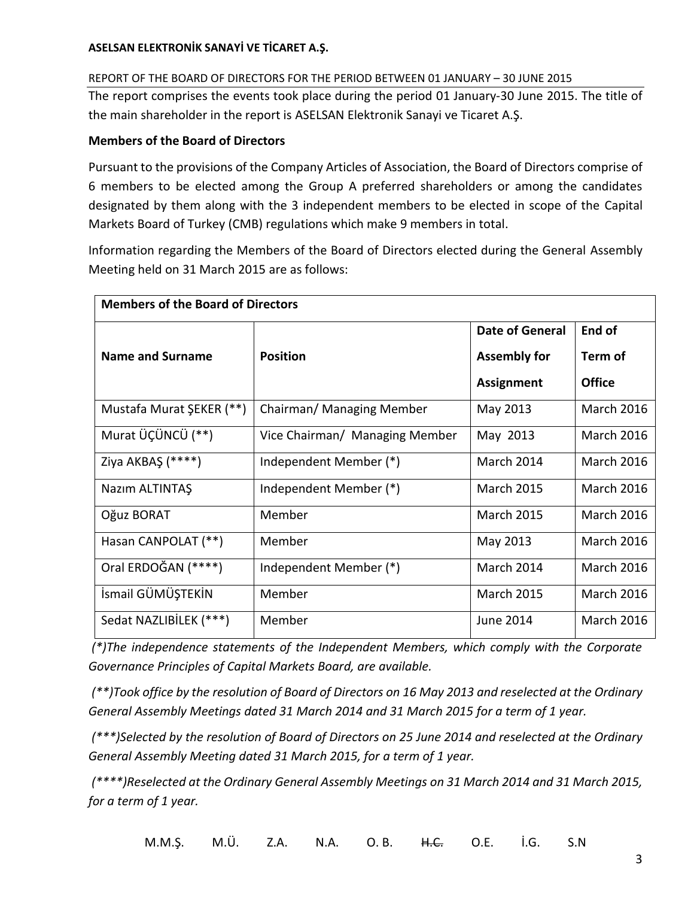## REPORT OF THE BOARD OF DIRECTORS FOR THE PERIOD BETWEEN 01 JANUARY – 30 JUNE 2015

The report comprises the events took place during the period 01 January-30 June 2015. The title of the main shareholder in the report is ASELSAN Elektronik Sanayi ve Ticaret A.Ş.

## **Members of the Board of Directors**

Pursuant to the provisions of the Company Articles of Association, the Board of Directors comprise of 6 members to be elected among the Group A preferred shareholders or among the candidates designated by them along with the 3 independent members to be elected in scope of the Capital Markets Board of Turkey (CMB) regulations which make 9 members in total.

Information regarding the Members of the Board of Directors elected during the General Assembly Meeting held on 31 March 2015 are as follows:

| <b>Members of the Board of Directors</b> |                                |                        |                   |  |  |
|------------------------------------------|--------------------------------|------------------------|-------------------|--|--|
|                                          |                                | <b>Date of General</b> | End of            |  |  |
| <b>Name and Surname</b>                  | <b>Position</b>                | <b>Assembly for</b>    | Term of           |  |  |
|                                          |                                | <b>Assignment</b>      | Office            |  |  |
| Mustafa Murat ŞEKER (**)                 | Chairman/ Managing Member      | May 2013               | <b>March 2016</b> |  |  |
| Murat ÜÇÜNCÜ (**)                        | Vice Chairman/ Managing Member | May 2013               | <b>March 2016</b> |  |  |
| Ziya AKBAŞ (****)                        | Independent Member (*)         | March 2014             | <b>March 2016</b> |  |  |
| Nazım ALTINTAŞ                           | Independent Member (*)         | <b>March 2015</b>      | <b>March 2016</b> |  |  |
| Oğuz BORAT                               | Member                         | <b>March 2015</b>      | <b>March 2016</b> |  |  |
| Hasan CANPOLAT (**)                      | Member                         | May 2013               | <b>March 2016</b> |  |  |
| Oral ERDOĞAN (****)                      | Independent Member (*)         | March 2014             | <b>March 2016</b> |  |  |
| İsmail GÜMÜŞTEKİN                        | Member                         | <b>March 2015</b>      | <b>March 2016</b> |  |  |
| Sedat NAZLIBİLEK (***)                   | Member                         | June 2014              | <b>March 2016</b> |  |  |

*(\*)The independence statements of the Independent Members, which comply with the Corporate Governance Principles of Capital Markets Board, are available.*

*(\*\*)Took office by the resolution of Board of Directors on 16 May 2013 and reselected at the Ordinary General Assembly Meetings dated 31 March 2014 and 31 March 2015 for a term of 1 year.*

*(\*\*\*)Selected by the resolution of Board of Directors on 25 June 2014 and reselected at the Ordinary General Assembly Meeting dated 31 March 2015, for a term of 1 year.* 

*(\*\*\*\*)Reselected at the Ordinary General Assembly Meetings on 31 March 2014 and 31 March 2015, for a term of 1 year.*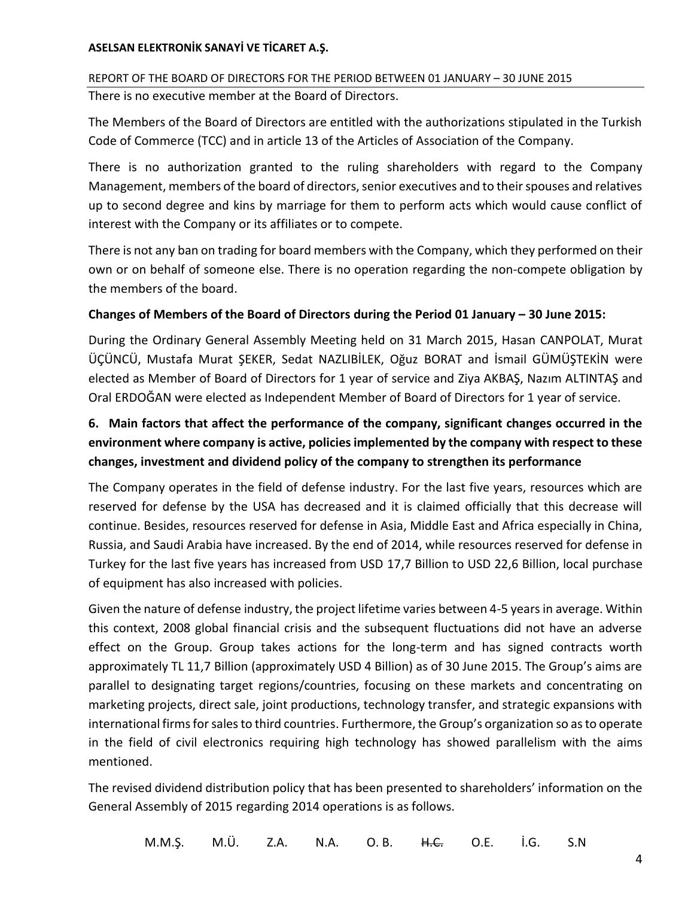REPORT OF THE BOARD OF DIRECTORS FOR THE PERIOD BETWEEN 01 JANUARY – 30 JUNE 2015 There is no executive member at the Board of Directors.

The Members of the Board of Directors are entitled with the authorizations stipulated in the Turkish Code of Commerce (TCC) and in article 13 of the Articles of Association of the Company.

There is no authorization granted to the ruling shareholders with regard to the Company Management, members of the board of directors, senior executives and to their spouses and relatives up to second degree and kins by marriage for them to perform acts which would cause conflict of interest with the Company or its affiliates or to compete.

There is not any ban on trading for board members with the Company, which they performed on their own or on behalf of someone else. There is no operation regarding the non-compete obligation by the members of the board.

## **Changes of Members of the Board of Directors during the Period 01 January – 30 June 2015:**

During the Ordinary General Assembly Meeting held on 31 March 2015, Hasan CANPOLAT, Murat ÜÇÜNCÜ, Mustafa Murat ŞEKER, Sedat NAZLIBİLEK, Oğuz BORAT and İsmail GÜMÜŞTEKİN were elected as Member of Board of Directors for 1 year of service and Ziya AKBAŞ, Nazım ALTINTAŞ and Oral ERDOĞAN were elected as Independent Member of Board of Directors for 1 year of service.

# **6. Main factors that affect the performance of the company, significant changes occurred in the environment where company is active, policies implemented by the company with respect to these changes, investment and dividend policy of the company to strengthen its performance**

The Company operates in the field of defense industry. For the last five years, resources which are reserved for defense by the USA has decreased and it is claimed officially that this decrease will continue. Besides, resources reserved for defense in Asia, Middle East and Africa especially in China, Russia, and Saudi Arabia have increased. By the end of 2014, while resources reserved for defense in Turkey for the last five years has increased from USD 17,7 Billion to USD 22,6 Billion, local purchase of equipment has also increased with policies.

Given the nature of defense industry, the project lifetime varies between 4-5 years in average. Within this context, 2008 global financial crisis and the subsequent fluctuations did not have an adverse effect on the Group. Group takes actions for the long-term and has signed contracts worth approximately TL 11,7 Billion (approximately USD 4 Billion) as of 30 June 2015. The Group's aims are parallel to designating target regions/countries, focusing on these markets and concentrating on marketing projects, direct sale, joint productions, technology transfer, and strategic expansions with international firms for sales to third countries. Furthermore, the Group's organization so as to operate in the field of civil electronics requiring high technology has showed parallelism with the aims mentioned.

The revised dividend distribution policy that has been presented to shareholders' information on the General Assembly of 2015 regarding 2014 operations is as follows.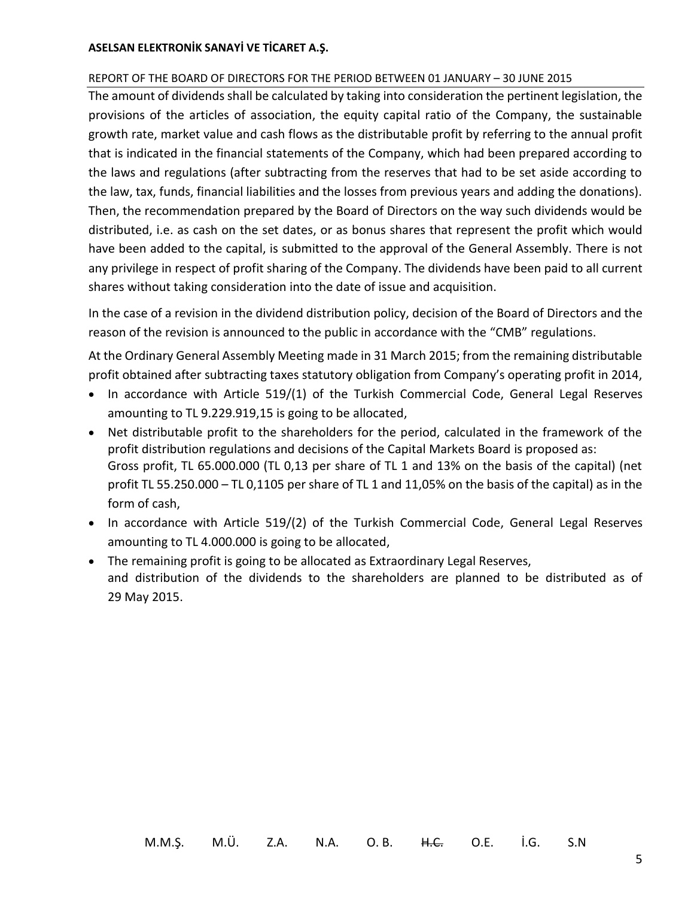#### REPORT OF THE BOARD OF DIRECTORS FOR THE PERIOD BETWEEN 01 JANUARY – 30 JUNE 2015

The amount of dividends shall be calculated by taking into consideration the pertinent legislation, the provisions of the articles of association, the equity capital ratio of the Company, the sustainable growth rate, market value and cash flows as the distributable profit by referring to the annual profit that is indicated in the financial statements of the Company, which had been prepared according to the laws and regulations (after subtracting from the reserves that had to be set aside according to the law, tax, funds, financial liabilities and the losses from previous years and adding the donations). Then, the recommendation prepared by the Board of Directors on the way such dividends would be distributed, i.e. as cash on the set dates, or as bonus shares that represent the profit which would have been added to the capital, is submitted to the approval of the General Assembly. There is not any privilege in respect of profit sharing of the Company. The dividends have been paid to all current shares without taking consideration into the date of issue and acquisition.

In the case of a revision in the dividend distribution policy, decision of the Board of Directors and the reason of the revision is announced to the public in accordance with the "CMB" regulations.

At the Ordinary General Assembly Meeting made in 31 March 2015; from the remaining distributable profit obtained after subtracting taxes statutory obligation from Company's operating profit in 2014,

- In accordance with Article 519/(1) of the Turkish Commercial Code, General Legal Reserves amounting to TL 9.229.919,15 is going to be allocated,
- Net distributable profit to the shareholders for the period, calculated in the framework of the profit distribution regulations and decisions of the Capital Markets Board is proposed as: Gross profit, TL 65.000.000 (TL 0,13 per share of TL 1 and 13% on the basis of the capital) (net profit TL 55.250.000 – TL 0,1105 per share of TL 1 and 11,05% on the basis of the capital) as in the form of cash,
- In accordance with Article 519/(2) of the Turkish Commercial Code, General Legal Reserves amounting to TL 4.000.000 is going to be allocated,
- The remaining profit is going to be allocated as Extraordinary Legal Reserves, and distribution of the dividends to the shareholders are planned to be distributed as of 29 May 2015.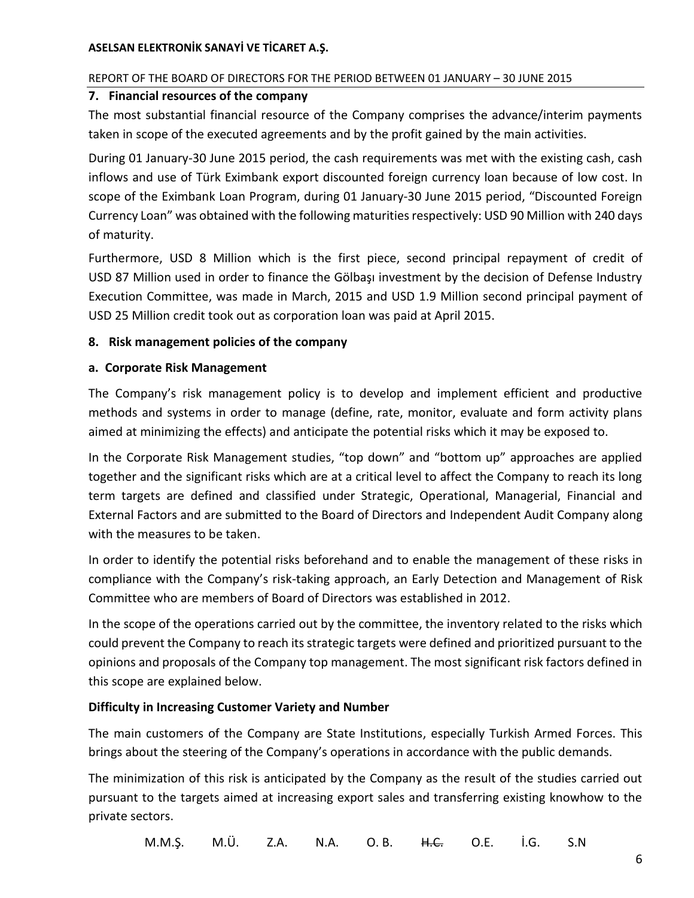## REPORT OF THE BOARD OF DIRECTORS FOR THE PERIOD BETWEEN 01 JANUARY – 30 JUNE 2015

## **7. Financial resources of the company**

The most substantial financial resource of the Company comprises the advance/interim payments taken in scope of the executed agreements and by the profit gained by the main activities.

During 01 January-30 June 2015 period, the cash requirements was met with the existing cash, cash inflows and use of Türk Eximbank export discounted foreign currency loan because of low cost. In scope of the Eximbank Loan Program, during 01 January-30 June 2015 period, "Discounted Foreign Currency Loan" was obtained with the following maturities respectively: USD 90 Million with 240 days of maturity.

Furthermore, USD 8 Million which is the first piece, second principal repayment of credit of USD 87 Million used in order to finance the Gölbaşı investment by the decision of Defense Industry Execution Committee, was made in March, 2015 and USD 1.9 Million second principal payment of USD 25 Million credit took out as corporation loan was paid at April 2015.

## **8. Risk management policies of the company**

## **a. Corporate Risk Management**

The Company's risk management policy is to develop and implement efficient and productive methods and systems in order to manage (define, rate, monitor, evaluate and form activity plans aimed at minimizing the effects) and anticipate the potential risks which it may be exposed to.

In the Corporate Risk Management studies, "top down" and "bottom up" approaches are applied together and the significant risks which are at a critical level to affect the Company to reach its long term targets are defined and classified under Strategic, Operational, Managerial, Financial and External Factors and are submitted to the Board of Directors and Independent Audit Company along with the measures to be taken.

In order to identify the potential risks beforehand and to enable the management of these risks in compliance with the Company's risk-taking approach, an Early Detection and Management of Risk Committee who are members of Board of Directors was established in 2012.

In the scope of the operations carried out by the committee, the inventory related to the risks which could prevent the Company to reach its strategic targets were defined and prioritized pursuant to the opinions and proposals of the Company top management. The most significant risk factors defined in this scope are explained below.

## **Difficulty in Increasing Customer Variety and Number**

The main customers of the Company are State Institutions, especially Turkish Armed Forces. This brings about the steering of the Company's operations in accordance with the public demands.

The minimization of this risk is anticipated by the Company as the result of the studies carried out pursuant to the targets aimed at increasing export sales and transferring existing knowhow to the private sectors.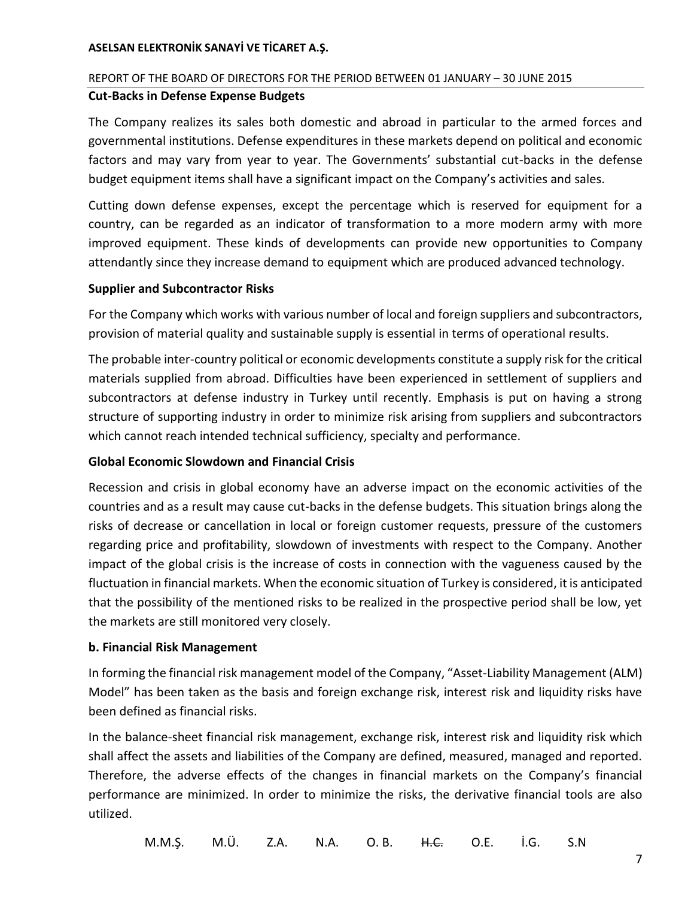## REPORT OF THE BOARD OF DIRECTORS FOR THE PERIOD BETWEEN 01 JANUARY – 30 JUNE 2015

#### **Cut-Backs in Defense Expense Budgets**

The Company realizes its sales both domestic and abroad in particular to the armed forces and governmental institutions. Defense expenditures in these markets depend on political and economic factors and may vary from year to year. The Governments' substantial cut-backs in the defense budget equipment items shall have a significant impact on the Company's activities and sales.

Cutting down defense expenses, except the percentage which is reserved for equipment for a country, can be regarded as an indicator of transformation to a more modern army with more improved equipment. These kinds of developments can provide new opportunities to Company attendantly since they increase demand to equipment which are produced advanced technology.

#### **Supplier and Subcontractor Risks**

For the Company which works with various number of local and foreign suppliers and subcontractors, provision of material quality and sustainable supply is essential in terms of operational results.

The probable inter-country political or economic developments constitute a supply risk for the critical materials supplied from abroad. Difficulties have been experienced in settlement of suppliers and subcontractors at defense industry in Turkey until recently. Emphasis is put on having a strong structure of supporting industry in order to minimize risk arising from suppliers and subcontractors which cannot reach intended technical sufficiency, specialty and performance.

#### **Global Economic Slowdown and Financial Crisis**

Recession and crisis in global economy have an adverse impact on the economic activities of the countries and as a result may cause cut-backs in the defense budgets. This situation brings along the risks of decrease or cancellation in local or foreign customer requests, pressure of the customers regarding price and profitability, slowdown of investments with respect to the Company. Another impact of the global crisis is the increase of costs in connection with the vagueness caused by the fluctuation in financial markets. When the economic situation of Turkey is considered, it is anticipated that the possibility of the mentioned risks to be realized in the prospective period shall be low, yet the markets are still monitored very closely.

#### **b. Financial Risk Management**

In forming the financial risk management model of the Company, "Asset-Liability Management (ALM) Model" has been taken as the basis and foreign exchange risk, interest risk and liquidity risks have been defined as financial risks.

In the balance-sheet financial risk management, exchange risk, interest risk and liquidity risk which shall affect the assets and liabilities of the Company are defined, measured, managed and reported. Therefore, the adverse effects of the changes in financial markets on the Company's financial performance are minimized. In order to minimize the risks, the derivative financial tools are also utilized.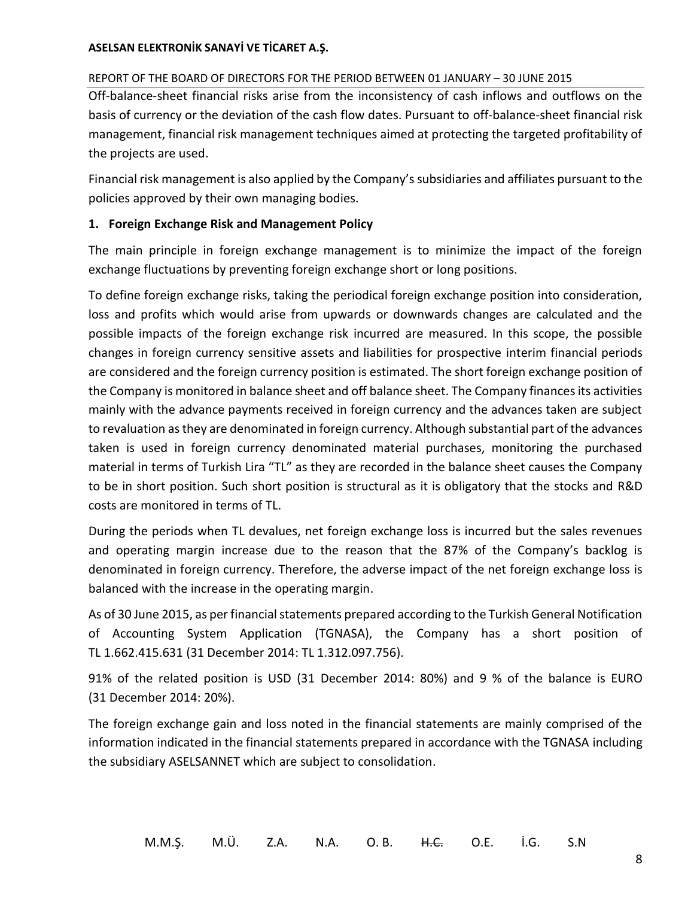## REPORT OF THE BOARD OF DIRECTORS FOR THE PERIOD BETWEEN 01 JANUARY – 30 JUNE 2015

Off-balance-sheet financial risks arise from the inconsistency of cash inflows and outflows on the basis of currency or the deviation of the cash flow dates. Pursuant to off-balance-sheet financial risk management, financial risk management techniques aimed at protecting the targeted profitability of the projects are used.

Financial risk management is also applied by the Company's subsidiaries and affiliates pursuant to the policies approved by their own managing bodies.

## **1. Foreign Exchange Risk and Management Policy**

The main principle in foreign exchange management is to minimize the impact of the foreign exchange fluctuations by preventing foreign exchange short or long positions.

To define foreign exchange risks, taking the periodical foreign exchange position into consideration, loss and profits which would arise from upwards or downwards changes are calculated and the possible impacts of the foreign exchange risk incurred are measured. In this scope, the possible changes in foreign currency sensitive assets and liabilities for prospective interim financial periods are considered and the foreign currency position is estimated. The short foreign exchange position of the Company is monitored in balance sheet and off balance sheet. The Company finances its activities mainly with the advance payments received in foreign currency and the advances taken are subject to revaluation as they are denominated in foreign currency. Although substantial part of the advances taken is used in foreign currency denominated material purchases, monitoring the purchased material in terms of Turkish Lira "TL" as they are recorded in the balance sheet causes the Company to be in short position. Such short position is structural as it is obligatory that the stocks and R&D costs are monitored in terms of TL.

During the periods when TL devalues, net foreign exchange loss is incurred but the sales revenues and operating margin increase due to the reason that the 87% of the Company's backlog is denominated in foreign currency. Therefore, the adverse impact of the net foreign exchange loss is balanced with the increase in the operating margin.

As of 30 June 2015, as per financial statements prepared according to the Turkish General Notification of Accounting System Application (TGNASA), the Company has a short position of TL 1.662.415.631 (31 December 2014: TL 1.312.097.756).

91% of the related position is USD (31 December 2014: 80%) and 9 % of the balance is EURO (31 December 2014: 20%).

The foreign exchange gain and loss noted in the financial statements are mainly comprised of the information indicated in the financial statements prepared in accordance with the TGNASA including the subsidiary ASELSANNET which are subject to consolidation.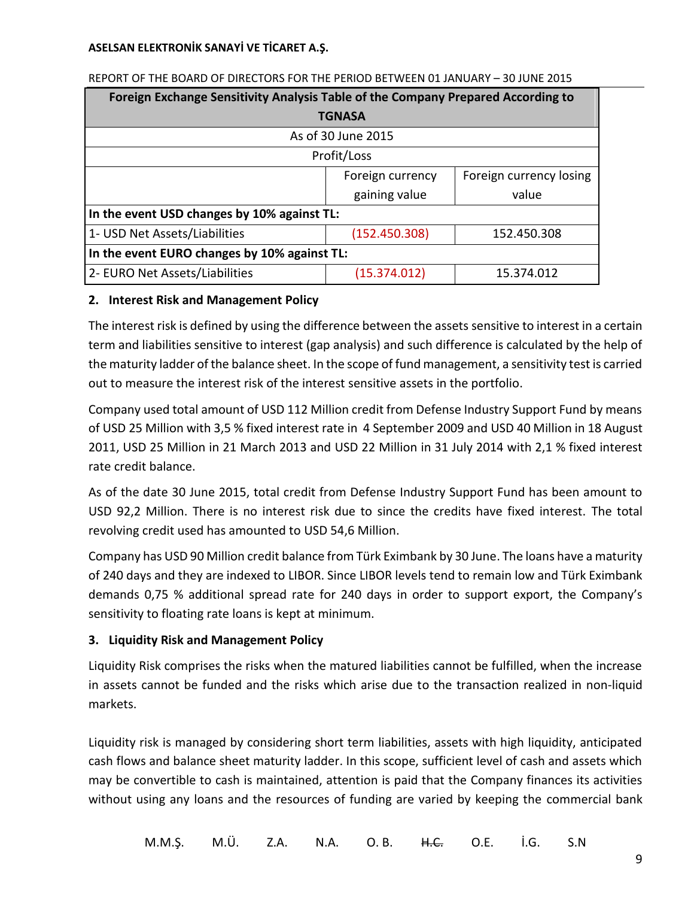| Foreign Exchange Sensitivity Analysis Table of the Company Prepared According to |                    |                         |  |
|----------------------------------------------------------------------------------|--------------------|-------------------------|--|
| <b>TGNASA</b>                                                                    |                    |                         |  |
|                                                                                  | As of 30 June 2015 |                         |  |
| Profit/Loss                                                                      |                    |                         |  |
|                                                                                  | Foreign currency   | Foreign currency losing |  |
|                                                                                  | gaining value      | value                   |  |
| In the event USD changes by 10% against TL:                                      |                    |                         |  |
| 1- USD Net Assets/Liabilities                                                    | (152.450.308)      | 152.450.308             |  |
| In the event EURO changes by 10% against TL:                                     |                    |                         |  |
| 2- EURO Net Assets/Liabilities                                                   | (15.374.012)       | 15.374.012              |  |

#### REPORT OF THE BOARD OF DIRECTORS FOR THE PERIOD BETWEEN 01 JANUARY – 30 JUNE 2015

## **2. Interest Risk and Management Policy**

The interest risk is defined by using the difference between the assets sensitive to interest in a certain term and liabilities sensitive to interest (gap analysis) and such difference is calculated by the help of the maturity ladder of the balance sheet. In the scope of fund management, a sensitivity test is carried out to measure the interest risk of the interest sensitive assets in the portfolio.

Company used total amount of USD 112 Million credit from Defense Industry Support Fund by means of USD 25 Million with 3,5 % fixed interest rate in 4 September 2009 and USD 40 Million in 18 August 2011, USD 25 Million in 21 March 2013 and USD 22 Million in 31 July 2014 with 2,1 % fixed interest rate credit balance.

As of the date 30 June 2015, total credit from Defense Industry Support Fund has been amount to USD 92,2 Million. There is no interest risk due to since the credits have fixed interest. The total revolving credit used has amounted to USD 54,6 Million.

Company has USD 90 Million credit balance from Türk Eximbank by 30 June. The loans have a maturity of 240 days and they are indexed to LIBOR. Since LIBOR levels tend to remain low and Türk Eximbank demands 0,75 % additional spread rate for 240 days in order to support export, the Company's sensitivity to floating rate loans is kept at minimum.

# **3. Liquidity Risk and Management Policy**

Liquidity Risk comprises the risks when the matured liabilities cannot be fulfilled, when the increase in assets cannot be funded and the risks which arise due to the transaction realized in non-liquid markets.

Liquidity risk is managed by considering short term liabilities, assets with high liquidity, anticipated cash flows and balance sheet maturity ladder. In this scope, sufficient level of cash and assets which may be convertible to cash is maintained, attention is paid that the Company finances its activities without using any loans and the resources of funding are varied by keeping the commercial bank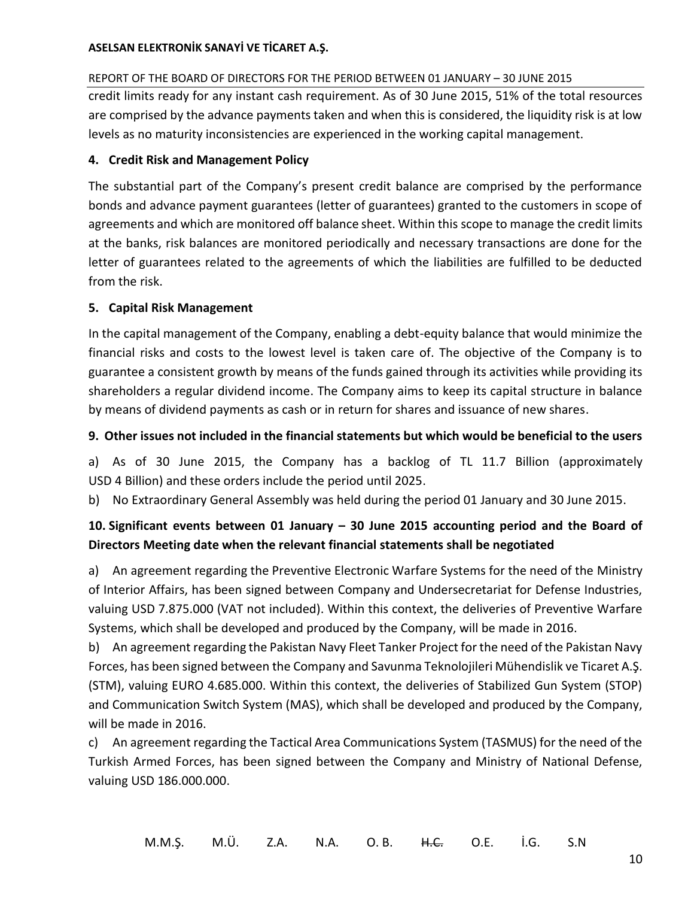## REPORT OF THE BOARD OF DIRECTORS FOR THE PERIOD BETWEEN 01 JANUARY – 30 JUNE 2015

credit limits ready for any instant cash requirement. As of 30 June 2015, 51% of the total resources are comprised by the advance payments taken and when this is considered, the liquidity risk is at low levels as no maturity inconsistencies are experienced in the working capital management.

## **4. Credit Risk and Management Policy**

The substantial part of the Company's present credit balance are comprised by the performance bonds and advance payment guarantees (letter of guarantees) granted to the customers in scope of agreements and which are monitored off balance sheet. Within this scope to manage the credit limits at the banks, risk balances are monitored periodically and necessary transactions are done for the letter of guarantees related to the agreements of which the liabilities are fulfilled to be deducted from the risk.

## **5. Capital Risk Management**

In the capital management of the Company, enabling a debt-equity balance that would minimize the financial risks and costs to the lowest level is taken care of. The objective of the Company is to guarantee a consistent growth by means of the funds gained through its activities while providing its shareholders a regular dividend income. The Company aims to keep its capital structure in balance by means of dividend payments as cash or in return for shares and issuance of new shares.

## **9. Other issues not included in the financial statements but which would be beneficial to the users**

a) As of 30 June 2015, the Company has a backlog of TL 11.7 Billion (approximately USD 4 Billion) and these orders include the period until 2025.

b) No Extraordinary General Assembly was held during the period 01 January and 30 June 2015.

# **10. Significant events between 01 January – 30 June 2015 accounting period and the Board of Directors Meeting date when the relevant financial statements shall be negotiated**

a) An agreement regarding the Preventive Electronic Warfare Systems for the need of the Ministry of Interior Affairs, has been signed between Company and Undersecretariat for Defense Industries, valuing USD 7.875.000 (VAT not included). Within this context, the deliveries of Preventive Warfare Systems, which shall be developed and produced by the Company, will be made in 2016.

b) An agreement regarding the Pakistan Navy Fleet Tanker Project for the need of the Pakistan Navy Forces, has been signed between the Company and Savunma Teknolojileri Mühendislik ve Ticaret A.Ş. (STM), valuing EURO 4.685.000. Within this context, the deliveries of Stabilized Gun System (STOP) and Communication Switch System (MAS), which shall be developed and produced by the Company, will be made in 2016.

c) An agreement regarding the Tactical Area Communications System (TASMUS) for the need of the Turkish Armed Forces, has been signed between the Company and Ministry of National Defense, valuing USD 186.000.000.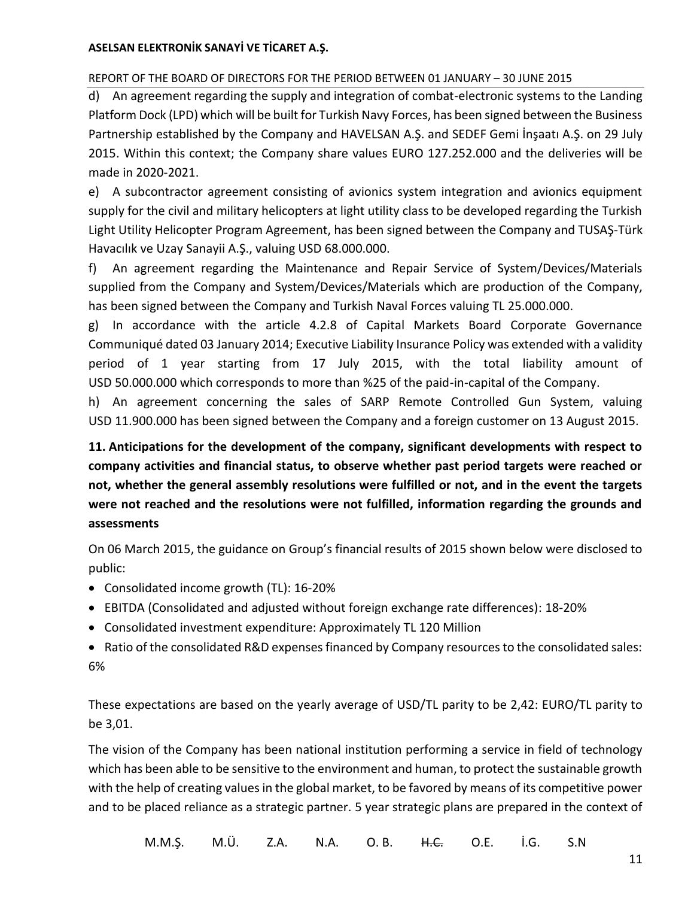## REPORT OF THE BOARD OF DIRECTORS FOR THE PERIOD BETWEEN 01 JANUARY – 30 JUNE 2015

d) An agreement regarding the supply and integration of combat-electronic systems to the Landing Platform Dock (LPD) which will be built for Turkish Navy Forces, has been signed between the Business Partnership established by the Company and HAVELSAN A.Ş. and SEDEF Gemi İnşaatı A.Ş. on 29 July 2015. Within this context; the Company share values EURO 127.252.000 and the deliveries will be made in 2020-2021.

e) A subcontractor agreement consisting of avionics system integration and avionics equipment supply for the civil and military helicopters at light utility class to be developed regarding the Turkish Light Utility Helicopter Program Agreement, has been signed between the Company and TUSAŞ-Türk Havacılık ve Uzay Sanayii A.Ş., valuing USD 68.000.000.

f) An agreement regarding the Maintenance and Repair Service of System/Devices/Materials supplied from the Company and System/Devices/Materials which are production of the Company, has been signed between the Company and Turkish Naval Forces valuing TL 25.000.000.

g) In accordance with the article 4.2.8 of Capital Markets Board Corporate Governance Communiqué dated 03 January 2014; Executive Liability Insurance Policy was extended with a validity period of 1 year starting from 17 July 2015, with the total liability amount of USD 50.000.000 which corresponds to more than %25 of the paid-in-capital of the Company.

h) An agreement concerning the sales of SARP Remote Controlled Gun System, valuing USD 11.900.000 has been signed between the Company and a foreign customer on 13 August 2015.

**11. Anticipations for the development of the company, significant developments with respect to company activities and financial status, to observe whether past period targets were reached or not, whether the general assembly resolutions were fulfilled or not, and in the event the targets were not reached and the resolutions were not fulfilled, information regarding the grounds and assessments**

On 06 March 2015, the guidance on Group's financial results of 2015 shown below were disclosed to public:

- Consolidated income growth (TL): 16-20%
- EBITDA (Consolidated and adjusted without foreign exchange rate differences): 18-20%
- Consolidated investment expenditure: Approximately TL 120 Million
- Ratio of the consolidated R&D expenses financed by Company resources to the consolidated sales: 6%

These expectations are based on the yearly average of USD/TL parity to be 2,42: EURO/TL parity to be 3,01.

The vision of the Company has been national institution performing a service in field of technology which has been able to be sensitive to the environment and human, to protect the sustainable growth with the help of creating values in the global market, to be favored by means of its competitive power and to be placed reliance as a strategic partner. 5 year strategic plans are prepared in the context of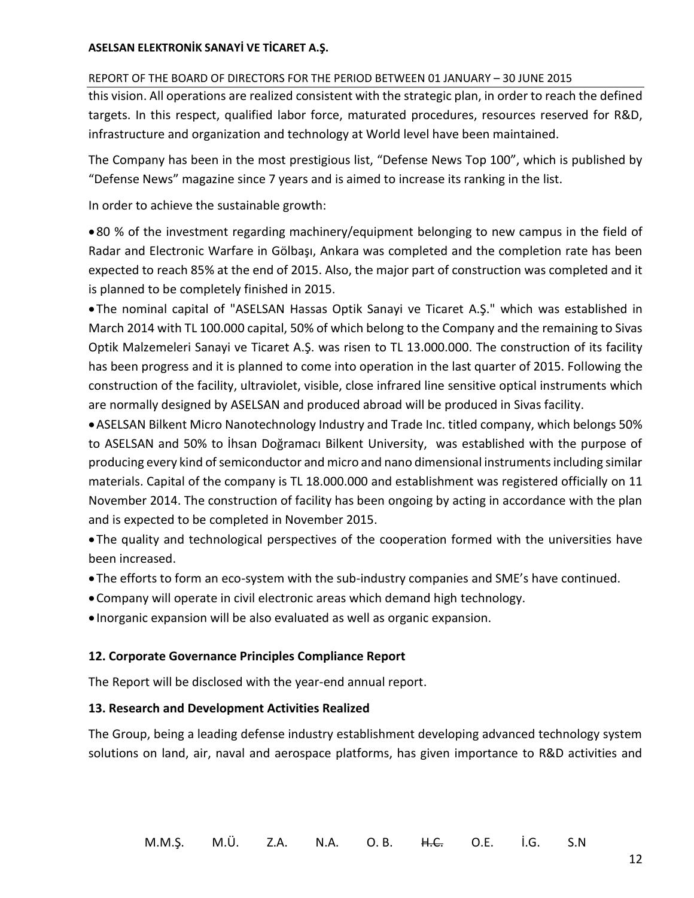#### REPORT OF THE BOARD OF DIRECTORS FOR THE PERIOD BETWEEN 01 JANUARY – 30 JUNE 2015

this vision. All operations are realized consistent with the strategic plan, in order to reach the defined targets. In this respect, qualified labor force, maturated procedures, resources reserved for R&D, infrastructure and organization and technology at World level have been maintained.

The Company has been in the most prestigious list, "Defense News Top 100", which is published by "Defense News" magazine since 7 years and is aimed to increase its ranking in the list.

In order to achieve the sustainable growth:

 80 % of the investment regarding machinery/equipment belonging to new campus in the field of Radar and Electronic Warfare in Gölbaşı, Ankara was completed and the completion rate has been expected to reach 85% at the end of 2015. Also, the major part of construction was completed and it is planned to be completely finished in 2015.

 The nominal capital of "ASELSAN Hassas Optik Sanayi ve Ticaret A.Ş." which was established in March 2014 with TL 100.000 capital, 50% of which belong to the Company and the remaining to Sivas Optik Malzemeleri Sanayi ve Ticaret A.Ş. was risen to TL 13.000.000. The construction of its facility has been progress and it is planned to come into operation in the last quarter of 2015. Following the construction of the facility, ultraviolet, visible, close infrared line sensitive optical instruments which are normally designed by ASELSAN and produced abroad will be produced in Sivas facility.

ASELSAN Bilkent Micro Nanotechnology Industry and Trade Inc. titled company, which belongs 50% to ASELSAN and 50% to İhsan Doğramacı Bilkent University, was established with the purpose of producing every kind of semiconductor and micro and nano dimensional instruments including similar materials. Capital of the company is TL 18.000.000 and establishment was registered officially on 11 November 2014. The construction of facility has been ongoing by acting in accordance with the plan and is expected to be completed in November 2015.

 The quality and technological perspectives of the cooperation formed with the universities have been increased.

- The efforts to form an eco-system with the sub-industry companies and SME's have continued.
- Company will operate in civil electronic areas which demand high technology.
- Inorganic expansion will be also evaluated as well as organic expansion.

#### **12. Corporate Governance Principles Compliance Report**

The Report will be disclosed with the year-end annual report.

#### **13. Research and Development Activities Realized**

The Group, being a leading defense industry establishment developing advanced technology system solutions on land, air, naval and aerospace platforms, has given importance to R&D activities and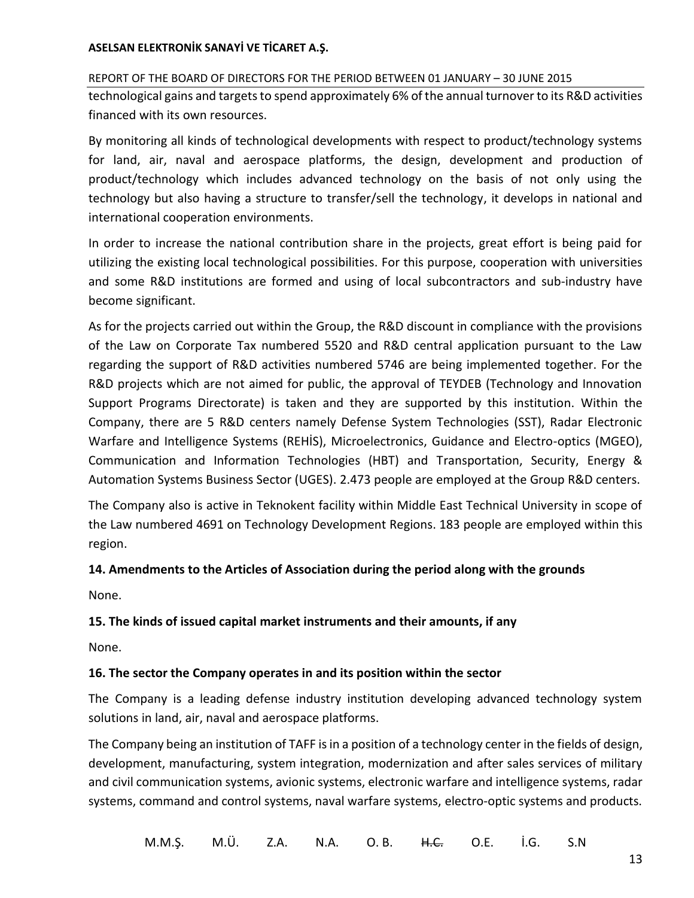REPORT OF THE BOARD OF DIRECTORS FOR THE PERIOD BETWEEN 01 JANUARY – 30 JUNE 2015 technological gains and targets to spend approximately 6% of the annual turnover to its R&D activities financed with its own resources.

By monitoring all kinds of technological developments with respect to product/technology systems for land, air, naval and aerospace platforms, the design, development and production of product/technology which includes advanced technology on the basis of not only using the technology but also having a structure to transfer/sell the technology, it develops in national and international cooperation environments.

In order to increase the national contribution share in the projects, great effort is being paid for utilizing the existing local technological possibilities. For this purpose, cooperation with universities and some R&D institutions are formed and using of local subcontractors and sub-industry have become significant.

As for the projects carried out within the Group, the R&D discount in compliance with the provisions of the Law on Corporate Tax numbered 5520 and R&D central application pursuant to the Law regarding the support of R&D activities numbered 5746 are being implemented together. For the R&D projects which are not aimed for public, the approval of TEYDEB (Technology and Innovation Support Programs Directorate) is taken and they are supported by this institution. Within the Company, there are 5 R&D centers namely Defense System Technologies (SST), Radar Electronic Warfare and Intelligence Systems (REHİS), Microelectronics, Guidance and Electro-optics (MGEO), Communication and Information Technologies (HBT) and Transportation, Security, Energy & Automation Systems Business Sector (UGES). 2.473 people are employed at the Group R&D centers.

The Company also is active in Teknokent facility within Middle East Technical University in scope of the Law numbered 4691 on Technology Development Regions. 183 people are employed within this region.

## **14. Amendments to the Articles of Association during the period along with the grounds**

None.

## **15. The kinds of issued capital market instruments and their amounts, if any**

None.

## **16. The sector the Company operates in and its position within the sector**

The Company is a leading defense industry institution developing advanced technology system solutions in land, air, naval and aerospace platforms.

The Company being an institution of TAFF is in a position of a technology center in the fields of design, development, manufacturing, system integration, modernization and after sales services of military and civil communication systems, avionic systems, electronic warfare and intelligence systems, radar systems, command and control systems, naval warfare systems, electro-optic systems and products.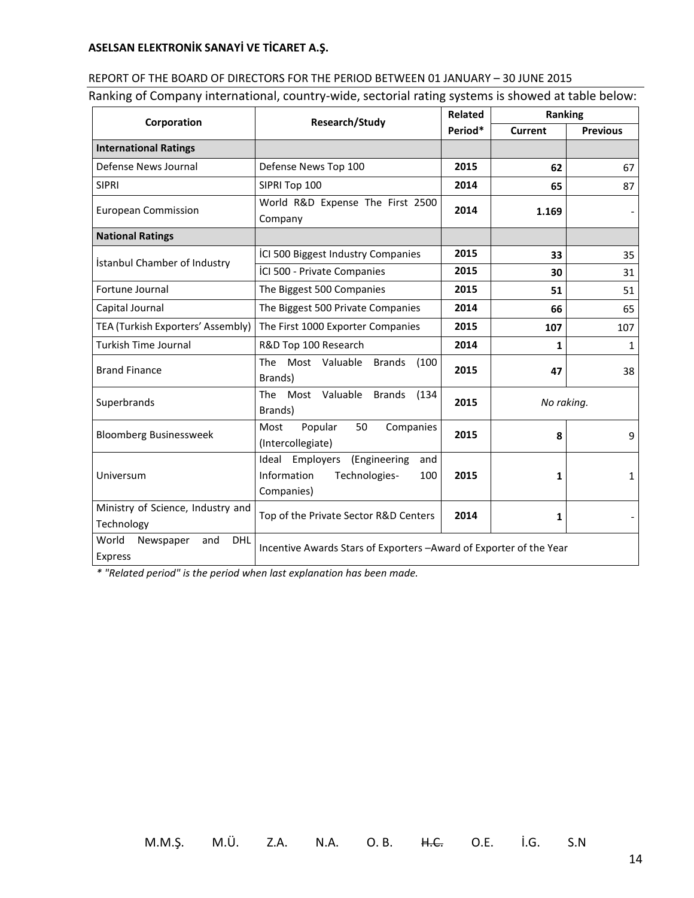| REPORT OF THE BOARD OF DIRECTORS FOR THE PERIOD BETWEEN 01 JANUARY - 30 JUNE 2015                  |
|----------------------------------------------------------------------------------------------------|
| Ranking of Company international, country-wide, sectorial rating systems is showed at table below: |

| Research/Study<br>Corporation                      |                                                                                                | Related | Ranking        |                 |
|----------------------------------------------------|------------------------------------------------------------------------------------------------|---------|----------------|-----------------|
|                                                    |                                                                                                | Period* | <b>Current</b> | <b>Previous</b> |
| <b>International Ratings</b>                       |                                                                                                |         |                |                 |
| Defense News Journal                               | Defense News Top 100                                                                           | 2015    | 62             | 67              |
| <b>SIPRI</b>                                       | SIPRI Top 100                                                                                  | 2014    | 65             | 87              |
| <b>European Commission</b>                         | World R&D Expense The First 2500                                                               | 2014    | 1.169          |                 |
|                                                    | Company                                                                                        |         |                |                 |
| <b>National Ratings</b>                            |                                                                                                |         |                |                 |
| İstanbul Chamber of Industry                       | ICI 500 Biggest Industry Companies                                                             | 2015    | 33             | 35              |
|                                                    | ICI 500 - Private Companies                                                                    | 2015    | 30             | 31              |
| Fortune Journal                                    | The Biggest 500 Companies                                                                      | 2015    | 51             | 51              |
| Capital Journal                                    | The Biggest 500 Private Companies                                                              | 2014    | 66             | 65              |
| TEA (Turkish Exporters' Assembly)                  | The First 1000 Exporter Companies                                                              | 2015    | 107            | 107             |
| <b>Turkish Time Journal</b>                        | R&D Top 100 Research                                                                           | 2014    | $\mathbf{1}$   | $\mathbf{1}$    |
| <b>Brand Finance</b>                               | Most Valuable<br><b>The</b><br><b>Brands</b><br>(100)<br>Brands)                               | 2015    | 47             | 38              |
| Superbrands                                        | Most Valuable Brands<br><b>The</b><br>(134)<br>Brands)                                         | 2015    | No raking.     |                 |
| <b>Bloomberg Businessweek</b>                      | Popular<br>Companies<br>50<br>Most<br>(Intercollegiate)                                        | 2015    | 8              | 9               |
| Universum                                          | (Engineering<br>Employers<br>Ideal<br>and<br>Information<br>Technologies-<br>100<br>Companies) | 2015    | 1              | $\mathbf{1}$    |
| Ministry of Science, Industry and<br>Technology    | Top of the Private Sector R&D Centers                                                          | 2014    | 1              |                 |
| DHL<br>World<br>Newspaper<br>and<br><b>Express</b> | Incentive Awards Stars of Exporters - Award of Exporter of the Year                            |         |                |                 |

*\* "Related period" is the period when last explanation has been made.*

M.M.Ş. M.Ü. Z.A. N.A. O. B. H.C. O.E. İ.G. S.N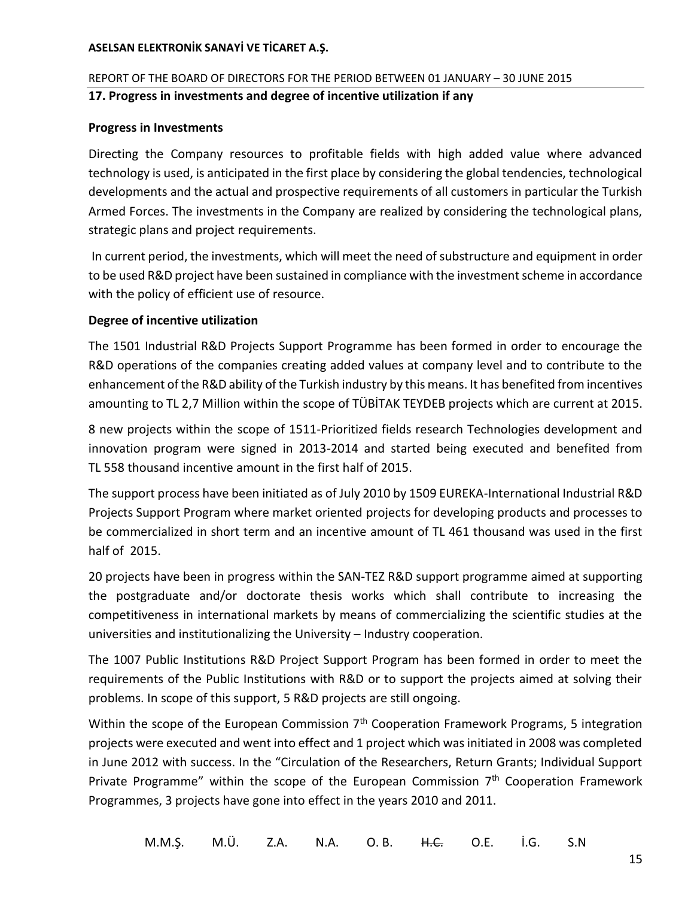## REPORT OF THE BOARD OF DIRECTORS FOR THE PERIOD BETWEEN 01 JANUARY – 30 JUNE 2015 **17. Progress in investments and degree of incentive utilization if any**

## **Progress in Investments**

Directing the Company resources to profitable fields with high added value where advanced technology is used, is anticipated in the first place by considering the global tendencies, technological developments and the actual and prospective requirements of all customers in particular the Turkish Armed Forces. The investments in the Company are realized by considering the technological plans, strategic plans and project requirements.

In current period, the investments, which will meet the need of substructure and equipment in order to be used R&D project have been sustained in compliance with the investment scheme in accordance with the policy of efficient use of resource.

## **Degree of incentive utilization**

The 1501 Industrial R&D Projects Support Programme has been formed in order to encourage the R&D operations of the companies creating added values at company level and to contribute to the enhancement of the R&D ability of the Turkish industry by this means. It has benefited from incentives amounting to TL 2,7 Million within the scope of TÜBİTAK TEYDEB projects which are current at 2015.

8 new projects within the scope of 1511-Prioritized fields research Technologies development and innovation program were signed in 2013-2014 and started being executed and benefited from TL 558 thousand incentive amount in the first half of 2015.

The support process have been initiated as of July 2010 by 1509 EUREKA-International Industrial R&D Projects Support Program where market oriented projects for developing products and processes to be commercialized in short term and an incentive amount of TL 461 thousand was used in the first half of 2015.

20 projects have been in progress within the SAN-TEZ R&D support programme aimed at supporting the postgraduate and/or doctorate thesis works which shall contribute to increasing the competitiveness in international markets by means of commercializing the scientific studies at the universities and institutionalizing the University – Industry cooperation.

The 1007 Public Institutions R&D Project Support Program has been formed in order to meet the requirements of the Public Institutions with R&D or to support the projects aimed at solving their problems. In scope of this support, 5 R&D projects are still ongoing.

Within the scope of the European Commission 7<sup>th</sup> Cooperation Framework Programs, 5 integration projects were executed and went into effect and 1 project which was initiated in 2008 was completed in June 2012 with success. In the "Circulation of the Researchers, Return Grants; Individual Support Private Programme" within the scope of the European Commission 7<sup>th</sup> Cooperation Framework Programmes, 3 projects have gone into effect in the years 2010 and 2011.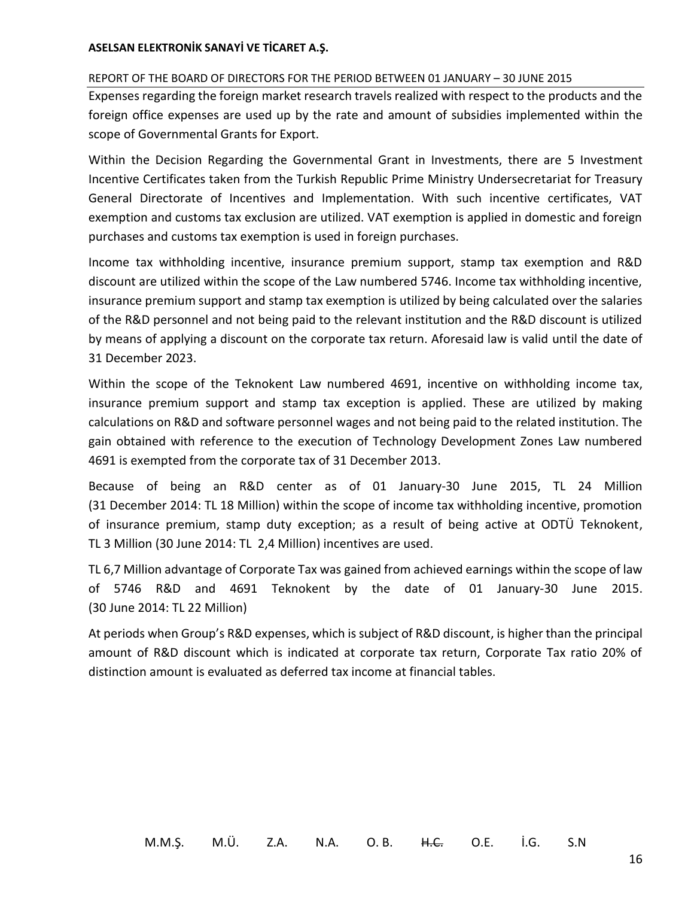#### REPORT OF THE BOARD OF DIRECTORS FOR THE PERIOD BETWEEN 01 JANUARY – 30 JUNE 2015

Expenses regarding the foreign market research travels realized with respect to the products and the foreign office expenses are used up by the rate and amount of subsidies implemented within the scope of Governmental Grants for Export.

Within the Decision Regarding the Governmental Grant in Investments, there are 5 Investment Incentive Certificates taken from the Turkish Republic Prime Ministry Undersecretariat for Treasury General Directorate of Incentives and Implementation. With such incentive certificates, VAT exemption and customs tax exclusion are utilized. VAT exemption is applied in domestic and foreign purchases and customs tax exemption is used in foreign purchases.

Income tax withholding incentive, insurance premium support, stamp tax exemption and R&D discount are utilized within the scope of the Law numbered 5746. Income tax withholding incentive, insurance premium support and stamp tax exemption is utilized by being calculated over the salaries of the R&D personnel and not being paid to the relevant institution and the R&D discount is utilized by means of applying a discount on the corporate tax return. Aforesaid law is valid until the date of 31 December 2023.

Within the scope of the Teknokent Law numbered 4691, incentive on withholding income tax, insurance premium support and stamp tax exception is applied. These are utilized by making calculations on R&D and software personnel wages and not being paid to the related institution. The gain obtained with reference to the execution of Technology Development Zones Law numbered 4691 is exempted from the corporate tax of 31 December 2013.

Because of being an R&D center as of 01 January-30 June 2015, TL 24 Million (31 December 2014: TL 18 Million) within the scope of income tax withholding incentive, promotion of insurance premium, stamp duty exception; as a result of being active at ODTÜ Teknokent, TL 3 Million (30 June 2014: TL 2,4 Million) incentives are used.

TL 6,7 Million advantage of Corporate Tax was gained from achieved earnings within the scope of law of 5746 R&D and 4691 Teknokent by the date of 01 January-30 June 2015. (30 June 2014: TL 22 Million)

At periods when Group's R&D expenses, which is subject of R&D discount, is higher than the principal amount of R&D discount which is indicated at corporate tax return, Corporate Tax ratio 20% of distinction amount is evaluated as deferred tax income at financial tables.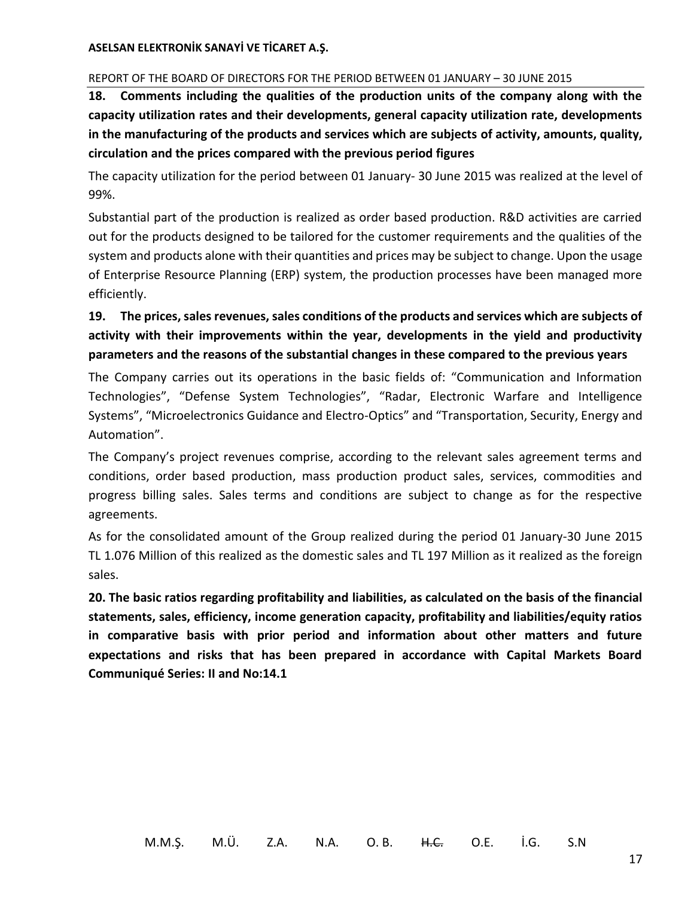#### REPORT OF THE BOARD OF DIRECTORS FOR THE PERIOD BETWEEN 01 JANUARY – 30 JUNE 2015

**18. Comments including the qualities of the production units of the company along with the capacity utilization rates and their developments, general capacity utilization rate, developments in the manufacturing of the products and services which are subjects of activity, amounts, quality, circulation and the prices compared with the previous period figures**

The capacity utilization for the period between 01 January- 30 June 2015 was realized at the level of 99%.

Substantial part of the production is realized as order based production. R&D activities are carried out for the products designed to be tailored for the customer requirements and the qualities of the system and products alone with their quantities and prices may be subject to change. Upon the usage of Enterprise Resource Planning (ERP) system, the production processes have been managed more efficiently.

# **19. The prices, sales revenues, sales conditions of the products and services which are subjects of activity with their improvements within the year, developments in the yield and productivity parameters and the reasons of the substantial changes in these compared to the previous years**

The Company carries out its operations in the basic fields of: "Communication and Information Technologies", "Defense System Technologies", "Radar, Electronic Warfare and Intelligence Systems", "Microelectronics Guidance and Electro-Optics" and "Transportation, Security, Energy and Automation".

The Company's project revenues comprise, according to the relevant sales agreement terms and conditions, order based production, mass production product sales, services, commodities and progress billing sales. Sales terms and conditions are subject to change as for the respective agreements.

As for the consolidated amount of the Group realized during the period 01 January-30 June 2015 TL 1.076 Million of this realized as the domestic sales and TL 197 Million as it realized as the foreign sales.

**20. The basic ratios regarding profitability and liabilities, as calculated on the basis of the financial statements, sales, efficiency, income generation capacity, profitability and liabilities/equity ratios in comparative basis with prior period and information about other matters and future expectations and risks that has been prepared in accordance with Capital Markets Board Communiqué Series: II and No:14.1**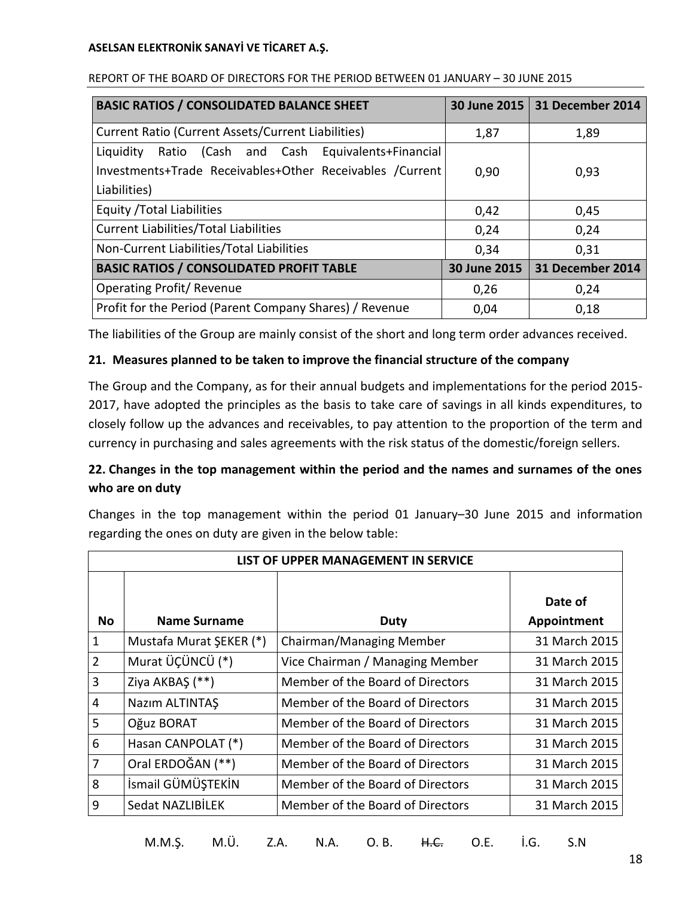| <b>BASIC RATIOS / CONSOLIDATED BALANCE SHEET</b>         |              | 30 June 2015 31 December 2014 |
|----------------------------------------------------------|--------------|-------------------------------|
| Current Ratio (Current Assets/Current Liabilities)       | 1,87         | 1,89                          |
| Ratio (Cash and Cash Equivalents+Financial<br>Liquidity  |              |                               |
| Investments+Trade Receivables+Other Receivables /Current | 0,90         | 0,93                          |
| Liabilities)                                             |              |                               |
| Equity / Total Liabilities                               | 0,42         | 0,45                          |
| <b>Current Liabilities/Total Liabilities</b>             | 0,24         | 0,24                          |
| Non-Current Liabilities/Total Liabilities                | 0,34         | 0,31                          |
| <b>BASIC RATIOS / CONSOLIDATED PROFIT TABLE</b>          | 30 June 2015 | 31 December 2014              |
| <b>Operating Profit/ Revenue</b>                         | 0,26         | 0,24                          |
| Profit for the Period (Parent Company Shares) / Revenue  | 0,04         | 0,18                          |

#### REPORT OF THE BOARD OF DIRECTORS FOR THE PERIOD BETWEEN 01 JANUARY – 30 JUNE 2015

The liabilities of the Group are mainly consist of the short and long term order advances received.

## **21. Measures planned to be taken to improve the financial structure of the company**

The Group and the Company, as for their annual budgets and implementations for the period 2015- 2017, have adopted the principles as the basis to take care of savings in all kinds expenditures, to closely follow up the advances and receivables, to pay attention to the proportion of the term and currency in purchasing and sales agreements with the risk status of the domestic/foreign sellers.

# **22. Changes in the top management within the period and the names and surnames of the ones who are on duty**

Changes in the top management within the period 01 January–30 June 2015 and information regarding the ones on duty are given in the below table:

| LIST OF UPPER MANAGEMENT IN SERVICE |                         |                                  |                        |  |
|-------------------------------------|-------------------------|----------------------------------|------------------------|--|
| <b>No</b>                           | <b>Name Surname</b>     | <b>Duty</b>                      | Date of<br>Appointment |  |
| $\mathbf{1}$                        | Mustafa Murat ŞEKER (*) | Chairman/Managing Member         | 31 March 2015          |  |
| $\overline{2}$                      | Murat ÜÇÜNCÜ (*)        | Vice Chairman / Managing Member  | 31 March 2015          |  |
| 3                                   | Ziya AKBAŞ (**)         | Member of the Board of Directors | 31 March 2015          |  |
| $\overline{4}$                      | Nazım ALTINTAŞ          | Member of the Board of Directors | 31 March 2015          |  |
| 5                                   | Oğuz BORAT              | Member of the Board of Directors | 31 March 2015          |  |
| 6                                   | Hasan CANPOLAT (*)      | Member of the Board of Directors | 31 March 2015          |  |
| 7                                   | Oral ERDOĞAN (**)       | Member of the Board of Directors | 31 March 2015          |  |
| 8                                   | İsmail GÜMÜŞTEKİN       | Member of the Board of Directors | 31 March 2015          |  |
| 9                                   | Sedat NAZLIBİLEK        | Member of the Board of Directors | 31 March 2015          |  |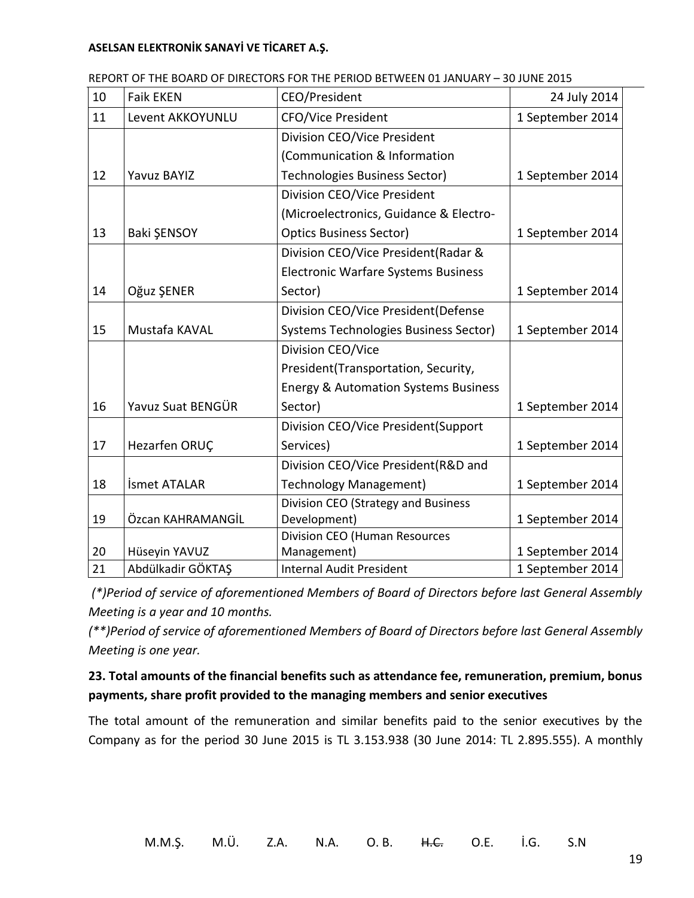| 10 | <b>Faik EKEN</b>   | <b>CEO/President</b>                            | 24 July 2014     |
|----|--------------------|-------------------------------------------------|------------------|
| 11 | Levent AKKOYUNLU   | <b>CFO/Vice President</b>                       | 1 September 2014 |
|    |                    | Division CEO/Vice President                     |                  |
|    |                    | (Communication & Information                    |                  |
| 12 | <b>Yavuz BAYIZ</b> | Technologies Business Sector)                   | 1 September 2014 |
|    |                    | Division CEO/Vice President                     |                  |
|    |                    | (Microelectronics, Guidance & Electro-          |                  |
| 13 | Baki ŞENSOY        | <b>Optics Business Sector)</b>                  | 1 September 2014 |
|    |                    | Division CEO/Vice President (Radar &            |                  |
|    |                    | <b>Electronic Warfare Systems Business</b>      |                  |
| 14 | Oğuz ŞENER         | Sector)                                         | 1 September 2014 |
|    |                    | Division CEO/Vice President(Defense             |                  |
| 15 | Mustafa KAVAL      | Systems Technologies Business Sector)           | 1 September 2014 |
|    |                    | Division CEO/Vice                               |                  |
|    |                    | President(Transportation, Security,             |                  |
|    |                    | <b>Energy &amp; Automation Systems Business</b> |                  |
| 16 | Yavuz Suat BENGÜR  | Sector)                                         | 1 September 2014 |
|    |                    | Division CEO/Vice President(Support             |                  |
| 17 | Hezarfen ORUÇ      | Services)                                       | 1 September 2014 |
|    |                    | Division CEO/Vice President(R&D and             |                  |
| 18 | İsmet ATALAR       | <b>Technology Management)</b>                   | 1 September 2014 |
|    |                    | Division CEO (Strategy and Business             |                  |
| 19 | Özcan KAHRAMANGİL  | Development)                                    | 1 September 2014 |
|    |                    | <b>Division CEO (Human Resources</b>            |                  |
| 20 | Hüseyin YAVUZ      | Management)                                     | 1 September 2014 |
| 21 | Abdülkadir GÖKTAŞ  | <b>Internal Audit President</b>                 | 1 September 2014 |

REPORT OF THE BOARD OF DIRECTORS FOR THE PERIOD BETWEEN 01 JANUARY – 30 JUNE 2015

*(\*)Period of service of aforementioned Members of Board of Directors before last General Assembly Meeting is a year and 10 months.*

*(\*\*)Period of service of aforementioned Members of Board of Directors before last General Assembly Meeting is one year.*

# **23. Total amounts of the financial benefits such as attendance fee, remuneration, premium, bonus payments, share profit provided to the managing members and senior executives**

The total amount of the remuneration and similar benefits paid to the senior executives by the Company as for the period 30 June 2015 is TL 3.153.938 (30 June 2014: TL 2.895.555). A monthly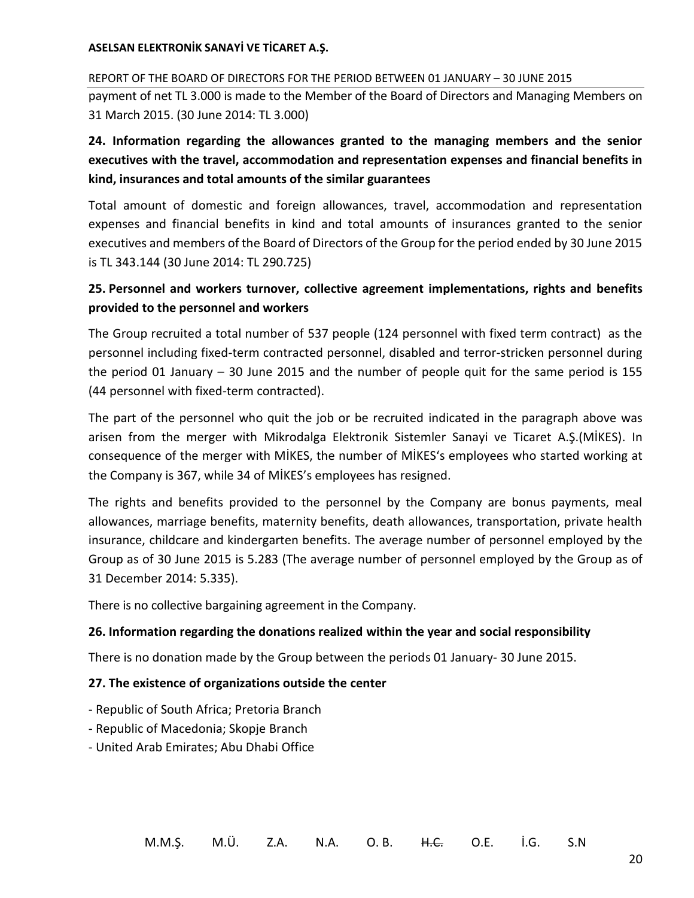REPORT OF THE BOARD OF DIRECTORS FOR THE PERIOD BETWEEN 01 JANUARY – 30 JUNE 2015 payment of net TL 3.000 is made to the Member of the Board of Directors and Managing Members on 31 March 2015. (30 June 2014: TL 3.000)

# **24. Information regarding the allowances granted to the managing members and the senior executives with the travel, accommodation and representation expenses and financial benefits in kind, insurances and total amounts of the similar guarantees**

Total amount of domestic and foreign allowances, travel, accommodation and representation expenses and financial benefits in kind and total amounts of insurances granted to the senior executives and members of the Board of Directors of the Group for the period ended by 30 June 2015 is TL 343.144 (30 June 2014: TL 290.725)

# **25. Personnel and workers turnover, collective agreement implementations, rights and benefits provided to the personnel and workers**

The Group recruited a total number of 537 people (124 personnel with fixed term contract) as the personnel including fixed-term contracted personnel, disabled and terror-stricken personnel during the period 01 January – 30 June 2015 and the number of people quit for the same period is 155 (44 personnel with fixed-term contracted).

The part of the personnel who quit the job or be recruited indicated in the paragraph above was arisen from the merger with Mikrodalga Elektronik Sistemler Sanayi ve Ticaret A.Ş.(MİKES). In consequence of the merger with MİKES, the number of MİKES's employees who started working at the Company is 367, while 34 of MİKES's employees has resigned.

The rights and benefits provided to the personnel by the Company are bonus payments, meal allowances, marriage benefits, maternity benefits, death allowances, transportation, private health insurance, childcare and kindergarten benefits. The average number of personnel employed by the Group as of 30 June 2015 is 5.283 (The average number of personnel employed by the Group as of 31 December 2014: 5.335).

There is no collective bargaining agreement in the Company.

# **26. Information regarding the donations realized within the year and social responsibility**

There is no donation made by the Group between the periods 01 January- 30 June 2015.

# **27. The existence of organizations outside the center**

- Republic of South Africa; Pretoria Branch
- Republic of Macedonia; Skopje Branch
- United Arab Emirates; Abu Dhabi Office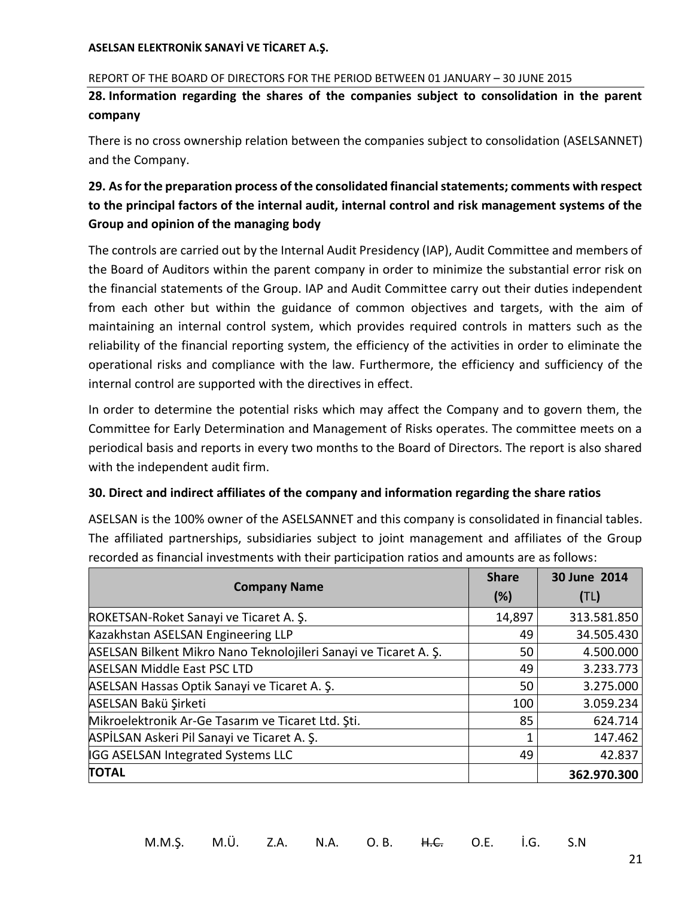#### REPORT OF THE BOARD OF DIRECTORS FOR THE PERIOD BETWEEN 01 JANUARY – 30 JUNE 2015

**28. Information regarding the shares of the companies subject to consolidation in the parent company**

There is no cross ownership relation between the companies subject to consolidation (ASELSANNET) and the Company.

# **29. As for the preparation process of the consolidated financial statements; comments with respect to the principal factors of the internal audit, internal control and risk management systems of the Group and opinion of the managing body**

The controls are carried out by the Internal Audit Presidency (IAP), Audit Committee and members of the Board of Auditors within the parent company in order to minimize the substantial error risk on the financial statements of the Group. IAP and Audit Committee carry out their duties independent from each other but within the guidance of common objectives and targets, with the aim of maintaining an internal control system, which provides required controls in matters such as the reliability of the financial reporting system, the efficiency of the activities in order to eliminate the operational risks and compliance with the law. Furthermore, the efficiency and sufficiency of the internal control are supported with the directives in effect.

In order to determine the potential risks which may affect the Company and to govern them, the Committee for Early Determination and Management of Risks operates. The committee meets on a periodical basis and reports in every two months to the Board of Directors. The report is also shared with the independent audit firm.

## **30. Direct and indirect affiliates of the company and information regarding the share ratios**

ASELSAN is the 100% owner of the ASELSANNET and this company is consolidated in financial tables. The affiliated partnerships, subsidiaries subject to joint management and affiliates of the Group recorded as financial investments with their participation ratios and amounts are as follows:

| <b>Company Name</b>                                              | <b>Share</b> | 30 June 2014 |
|------------------------------------------------------------------|--------------|--------------|
|                                                                  |              | (TL)         |
| ROKETSAN-Roket Sanayi ve Ticaret A. Ş.                           | 14,897       | 313.581.850  |
| Kazakhstan ASELSAN Engineering LLP                               | 49           | 34.505.430   |
| ASELSAN Bilkent Mikro Nano Teknolojileri Sanayi ve Ticaret A. S. | 50           | 4.500.000    |
| <b>ASELSAN Middle East PSC LTD</b>                               | 49           | 3.233.773    |
| ASELSAN Hassas Optik Sanayi ve Ticaret A. S.                     | 50           | 3.275.000    |
| ASELSAN Bakü Şirketi                                             | 100          | 3.059.234    |
| Mikroelektronik Ar-Ge Tasarım ve Ticaret Ltd. Şti.               | 85           | 624.714      |
| ASPİLSAN Askeri Pil Sanayi ve Ticaret A. Ş.                      |              | 147.462      |
| IGG ASELSAN Integrated Systems LLC                               | 49           | 42.837       |
| <b>TOTAL</b>                                                     |              | 362.970.300  |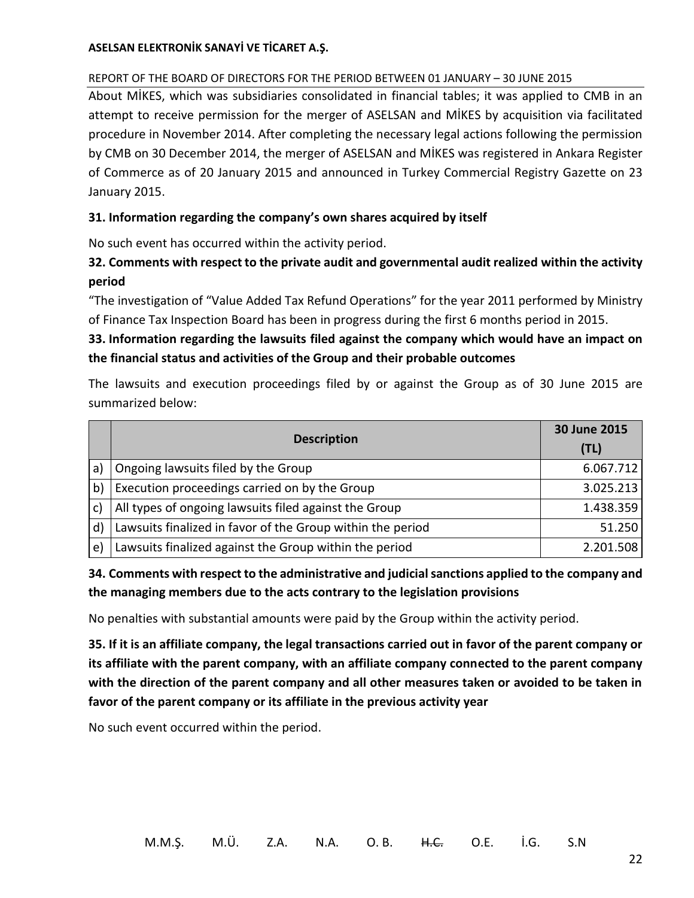## REPORT OF THE BOARD OF DIRECTORS FOR THE PERIOD BETWEEN 01 JANUARY – 30 JUNE 2015

About MİKES, which was subsidiaries consolidated in financial tables; it was applied to CMB in an attempt to receive permission for the merger of ASELSAN and MİKES by acquisition via facilitated procedure in November 2014. After completing the necessary legal actions following the permission by CMB on 30 December 2014, the merger of ASELSAN and MİKES was registered in Ankara Register of Commerce as of 20 January 2015 and announced in Turkey Commercial Registry Gazette on 23 January 2015.

## **31. Information regarding the company's own shares acquired by itself**

No such event has occurred within the activity period.

# **32. Comments with respect to the private audit and governmental audit realized within the activity period**

"The investigation of "Value Added Tax Refund Operations" for the year 2011 performed by Ministry of Finance Tax Inspection Board has been in progress during the first 6 months period in 2015.

# **33. Information regarding the lawsuits filed against the company which would have an impact on the financial status and activities of the Group and their probable outcomes**

The lawsuits and execution proceedings filed by or against the Group as of 30 June 2015 are summarized below:

|              |                                                            | 30 June 2015 |
|--------------|------------------------------------------------------------|--------------|
|              | <b>Description</b>                                         | (TL)         |
| a)           | Ongoing lawsuits filed by the Group                        | 6.067.712    |
| b)           | Execution proceedings carried on by the Group              | 3.025.213    |
|              | All types of ongoing lawsuits filed against the Group      | 1.438.359    |
| $\mathsf{d}$ | Lawsuits finalized in favor of the Group within the period | 51.250       |
| $\mathsf{e}$ | Lawsuits finalized against the Group within the period     | 2.201.508    |

# **34. Comments with respect to the administrative and judicial sanctions applied to the company and the managing members due to the acts contrary to the legislation provisions**

No penalties with substantial amounts were paid by the Group within the activity period.

**35. If it is an affiliate company, the legal transactions carried out in favor of the parent company or its affiliate with the parent company, with an affiliate company connected to the parent company with the direction of the parent company and all other measures taken or avoided to be taken in favor of the parent company or its affiliate in the previous activity year**

No such event occurred within the period.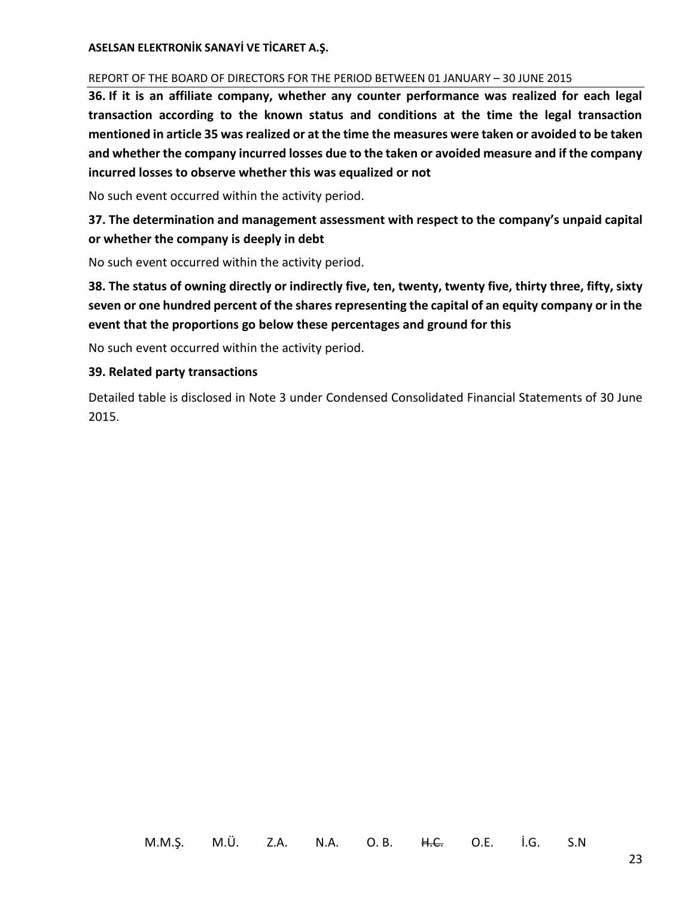#### REPORT OF THE BOARD OF DIRECTORS FOR THE PERIOD BETWEEN 01 JANUARY – 30 JUNE 2015

**36. If it is an affiliate company, whether any counter performance was realized for each legal transaction according to the known status and conditions at the time the legal transaction mentioned in article 35 was realized or at the time the measures were taken or avoided to be taken and whether the company incurred losses due to the taken or avoided measure and if the company incurred losses to observe whether this was equalized or not**

No such event occurred within the activity period.

# **37. The determination and management assessment with respect to the company's unpaid capital or whether the company is deeply in debt**

No such event occurred within the activity period.

**38. The status of owning directly or indirectly five, ten, twenty, twenty five, thirty three, fifty, sixty seven or one hundred percent of the shares representing the capital of an equity company or in the event that the proportions go below these percentages and ground for this**

No such event occurred within the activity period.

#### **39. Related party transactions**

Detailed table is disclosed in Note 3 under Condensed Consolidated Financial Statements of 30 June 2015.